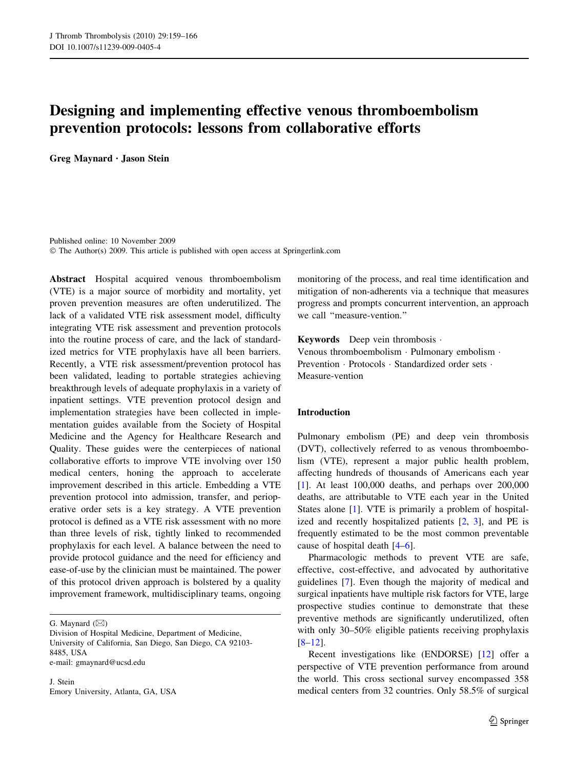# Designing and implementing effective venous thromboembolism prevention protocols: lessons from collaborative efforts

Greg Maynard *•* Jason Stein

Published online: 10 November 2009  $\odot$  The Author(s) 2009. This article is published with open access at Springerlink.com

Abstract Hospital acquired venous thromboembolism (VTE) is a major source of morbidity and mortality, yet proven prevention measures are often underutilized. The lack of a validated VTE risk assessment model, difficulty integrating VTE risk assessment and prevention protocols into the routine process of care, and the lack of standardized metrics for VTE prophylaxis have all been barriers. Recently, a VTE risk assessment/prevention protocol has been validated, leading to portable strategies achieving breakthrough levels of adequate prophylaxis in a variety of inpatient settings. VTE prevention protocol design and implementation strategies have been collected in implementation guides available from the Society of Hospital Medicine and the Agency for Healthcare Research and Quality. These guides were the centerpieces of national collaborative efforts to improve VTE involving over 150 medical centers, honing the approach to accelerate improvement described in this article. Embedding a VTE prevention protocol into admission, transfer, and perioperative order sets is a key strategy. A VTE prevention protocol is defined as a VTE risk assessment with no more than three levels of risk, tightly linked to recommended prophylaxis for each level. A balance between the need to provide protocol guidance and the need for efficiency and ease-of-use by the clinician must be maintained. The power of this protocol driven approach is bolstered by a quality improvement framework, multidisciplinary teams, ongoing

G. Maynard  $(\boxtimes)$ 

Division of Hospital Medicine, Department of Medicine, University of California, San Diego, San Diego, CA 92103- 8485, USA e-mail: gmaynard@ucsd.edu

J. Stein Emory University, Atlanta, GA, USA monitoring of the process, and real time identification and mitigation of non-adherents via a technique that measures progress and prompts concurrent intervention, an approach we call ''measure-vention.''

Keywords Deep vein thrombosis · Venous thromboembolism · Pulmonary embolism · Prevention · Protocols · Standardized order sets · Measure-vention

#### Introduction

Pulmonary embolism (PE) and deep vein thrombosis (DVT), collectively referred to as venous thromboembolism (VTE), represent a major public health problem, affecting hundreds of thousands of Americans each year [\[1](#page-6-0)]. At least 100,000 deaths, and perhaps over 200,000 deaths, are attributable to VTE each year in the United States alone [[1\]](#page-6-0). VTE is primarily a problem of hospitalized and recently hospitalized patients [\[2](#page-6-0), [3](#page-6-0)], and PE is frequently estimated to be the most common preventable cause of hospital death [[4–6\]](#page-6-0).

Pharmacologic methods to prevent VTE are safe, effective, cost-effective, and advocated by authoritative guidelines [[7\]](#page-6-0). Even though the majority of medical and surgical inpatients have multiple risk factors for VTE, large prospective studies continue to demonstrate that these preventive methods are significantly underutilized, often with only 30–50% eligible patients receiving prophylaxis [\[8–12](#page-6-0)].

Recent investigations like (ENDORSE) [\[12](#page-6-0)] offer a perspective of VTE prevention performance from around the world. This cross sectional survey encompassed 358 medical centers from 32 countries. Only 58.5% of surgical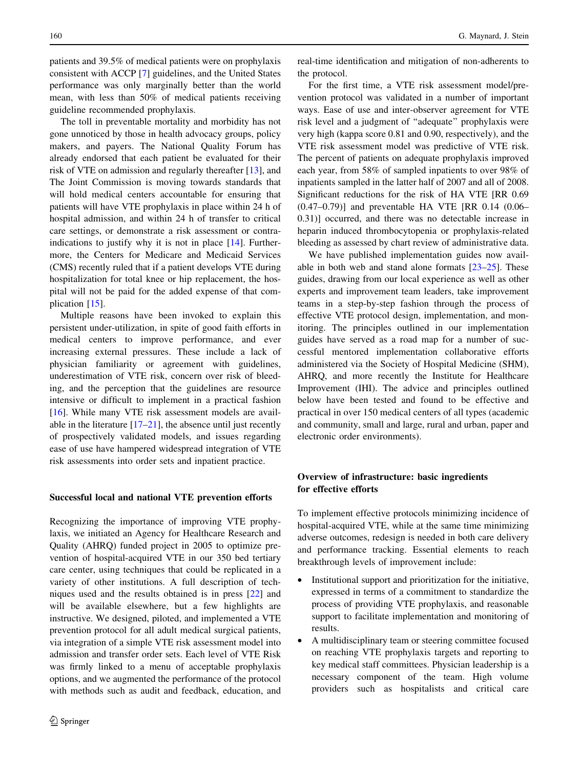patients and 39.5% of medical patients were on prophylaxis consistent with ACCP [\[7](#page-6-0)] guidelines, and the United States performance was only marginally better than the world mean, with less than 50% of medical patients receiving guideline recommended prophylaxis.

The toll in preventable mortality and morbidity has not gone unnoticed by those in health advocacy groups, policy makers, and payers. The National Quality Forum has already endorsed that each patient be evaluated for their risk of VTE on admission and regularly thereafter [\[13](#page-7-0)], and The Joint Commission is moving towards standards that will hold medical centers accountable for ensuring that patients will have VTE prophylaxis in place within 24 h of hospital admission, and within 24 h of transfer to critical care settings, or demonstrate a risk assessment or contraindications to justify why it is not in place [[14\]](#page-7-0). Furthermore, the Centers for Medicare and Medicaid Services (CMS) recently ruled that if a patient develops VTE during hospitalization for total knee or hip replacement, the hospital will not be paid for the added expense of that complication [[15\]](#page-7-0).

Multiple reasons have been invoked to explain this persistent under-utilization, in spite of good faith efforts in medical centers to improve performance, and ever increasing external pressures. These include a lack of physician familiarity or agreement with guidelines, underestimation of VTE risk, concern over risk of bleeding, and the perception that the guidelines are resource intensive or difficult to implement in a practical fashion [\[16](#page-7-0)]. While many VTE risk assessment models are available in the literature  $[17–21]$  $[17–21]$ , the absence until just recently of prospectively validated models, and issues regarding ease of use have hampered widespread integration of VTE risk assessments into order sets and inpatient practice.

#### Successful local and national VTE prevention efforts

Recognizing the importance of improving VTE prophylaxis, we initiated an Agency for Healthcare Research and Quality (AHRQ) funded project in 2005 to optimize prevention of hospital-acquired VTE in our 350 bed tertiary care center, using techniques that could be replicated in a variety of other institutions. A full description of techniques used and the results obtained is in press [\[22](#page-7-0)] and will be available elsewhere, but a few highlights are instructive. We designed, piloted, and implemented a VTE prevention protocol for all adult medical surgical patients, via integration of a simple VTE risk assessment model into admission and transfer order sets. Each level of VTE Risk was firmly linked to a menu of acceptable prophylaxis options, and we augmented the performance of the protocol with methods such as audit and feedback, education, and real-time identification and mitigation of non-adherents to the protocol.

For the first time, a VTE risk assessment model/prevention protocol was validated in a number of important ways. Ease of use and inter-observer agreement for VTE risk level and a judgment of ''adequate'' prophylaxis were very high (kappa score 0.81 and 0.90, respectively), and the VTE risk assessment model was predictive of VTE risk. The percent of patients on adequate prophylaxis improved each year, from 58% of sampled inpatients to over 98% of inpatients sampled in the latter half of 2007 and all of 2008. Significant reductions for the risk of HA VTE [RR 0.69 (0.47–0.79)] and preventable HA VTE [RR 0.14 (0.06– 0.31)] occurred, and there was no detectable increase in heparin induced thrombocytopenia or prophylaxis-related bleeding as assessed by chart review of administrative data.

We have published implementation guides now available in both web and stand alone formats [[23–25\]](#page-7-0). These guides, drawing from our local experience as well as other experts and improvement team leaders, take improvement teams in a step-by-step fashion through the process of effective VTE protocol design, implementation, and monitoring. The principles outlined in our implementation guides have served as a road map for a number of successful mentored implementation collaborative efforts administered via the Society of Hospital Medicine (SHM), AHRQ, and more recently the Institute for Healthcare Improvement (IHI). The advice and principles outlined below have been tested and found to be effective and practical in over 150 medical centers of all types (academic and community, small and large, rural and urban, paper and electronic order environments).

# Overview of infrastructure: basic ingredients for effective efforts

To implement effective protocols minimizing incidence of hospital-acquired VTE, while at the same time minimizing adverse outcomes, redesign is needed in both care delivery and performance tracking. Essential elements to reach breakthrough levels of improvement include:

- Institutional support and prioritization for the initiative, expressed in terms of a commitment to standardize the process of providing VTE prophylaxis, and reasonable support to facilitate implementation and monitoring of results.
- A multidisciplinary team or steering committee focused on reaching VTE prophylaxis targets and reporting to key medical staff committees. Physician leadership is a necessary component of the team. High volume providers such as hospitalists and critical care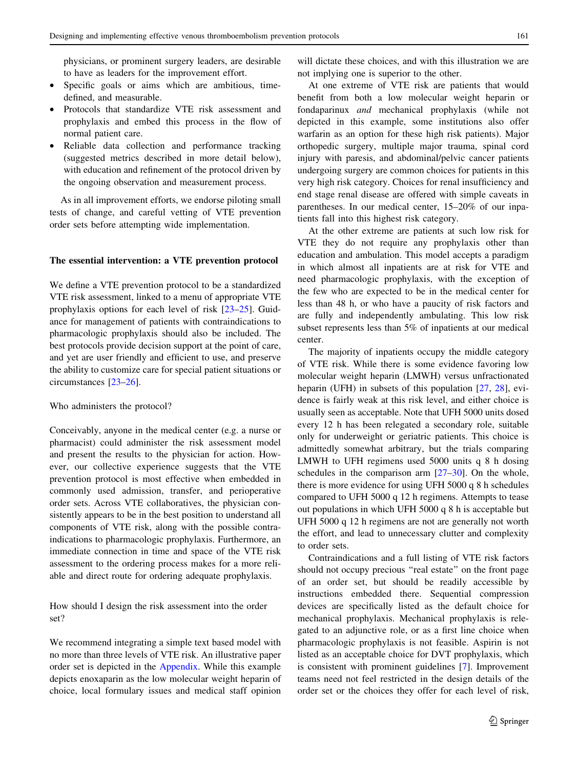physicians, or prominent surgery leaders, are desirable to have as leaders for the improvement effort.

- Specific goals or aims which are ambitious, timedefined, and measurable.
- Protocols that standardize VTE risk assessment and prophylaxis and embed this process in the flow of normal patient care.
- Reliable data collection and performance tracking (suggested metrics described in more detail below), with education and refinement of the protocol driven by the ongoing observation and measurement process.

As in all improvement efforts, we endorse piloting small tests of change, and careful vetting of VTE prevention order sets before attempting wide implementation.

#### The essential intervention: a VTE prevention protocol

We define a VTE prevention protocol to be a standardized VTE risk assessment, linked to a menu of appropriate VTE prophylaxis options for each level of risk [\[23–25](#page-7-0)]. Guidance for management of patients with contraindications to pharmacologic prophylaxis should also be included. The best protocols provide decision support at the point of care, and yet are user friendly and efficient to use, and preserve the ability to customize care for special patient situations or circumstances [\[23–26](#page-7-0)].

#### Who administers the protocol?

Conceivably, anyone in the medical center (e.g. a nurse or pharmacist) could administer the risk assessment model and present the results to the physician for action. However, our collective experience suggests that the VTE prevention protocol is most effective when embedded in commonly used admission, transfer, and perioperative order sets. Across VTE collaboratives, the physician consistently appears to be in the best position to understand all components of VTE risk, along with the possible contraindications to pharmacologic prophylaxis. Furthermore, an immediate connection in time and space of the VTE risk assessment to the ordering process makes for a more reliable and direct route for ordering adequate prophylaxis.

How should I design the risk assessment into the order set?

We recommend integrating a simple text based model with no more than three levels of VTE risk. An illustrative paper order set is depicted in the [Appendix.](#page-6-0) While this example depicts enoxaparin as the low molecular weight heparin of choice, local formulary issues and medical staff opinion

will dictate these choices, and with this illustration we are not implying one is superior to the other.

At one extreme of VTE risk are patients that would benefit from both a low molecular weight heparin or fondaparinux and mechanical prophylaxis (while not depicted in this example, some institutions also offer warfarin as an option for these high risk patients). Major orthopedic surgery, multiple major trauma, spinal cord injury with paresis, and abdominal/pelvic cancer patients undergoing surgery are common choices for patients in this very high risk category. Choices for renal insufficiency and end stage renal disease are offered with simple caveats in parentheses. In our medical center, 15–20% of our inpatients fall into this highest risk category.

At the other extreme are patients at such low risk for VTE they do not require any prophylaxis other than education and ambulation. This model accepts a paradigm in which almost all inpatients are at risk for VTE and need pharmacologic prophylaxis, with the exception of the few who are expected to be in the medical center for less than 48 h, or who have a paucity of risk factors and are fully and independently ambulating. This low risk subset represents less than 5% of inpatients at our medical center.

The majority of inpatients occupy the middle category of VTE risk. While there is some evidence favoring low molecular weight heparin (LMWH) versus unfractionated heparin (UFH) in subsets of this population [\[27](#page-7-0), [28](#page-7-0)], evidence is fairly weak at this risk level, and either choice is usually seen as acceptable. Note that UFH 5000 units dosed every 12 h has been relegated a secondary role, suitable only for underweight or geriatric patients. This choice is admittedly somewhat arbitrary, but the trials comparing LMWH to UFH regimens used 5000 units q 8 h dosing schedules in the comparison arm  $[27-30]$ . On the whole, there is more evidence for using UFH 5000 q 8 h schedules compared to UFH 5000 q 12 h regimens. Attempts to tease out populations in which UFH 5000 q 8 h is acceptable but UFH 5000 q 12 h regimens are not are generally not worth the effort, and lead to unnecessary clutter and complexity to order sets.

Contraindications and a full listing of VTE risk factors should not occupy precious "real estate" on the front page of an order set, but should be readily accessible by instructions embedded there. Sequential compression devices are specifically listed as the default choice for mechanical prophylaxis. Mechanical prophylaxis is relegated to an adjunctive role, or as a first line choice when pharmacologic prophylaxis is not feasible. Aspirin is not listed as an acceptable choice for DVT prophylaxis, which is consistent with prominent guidelines [[7\]](#page-6-0). Improvement teams need not feel restricted in the design details of the order set or the choices they offer for each level of risk,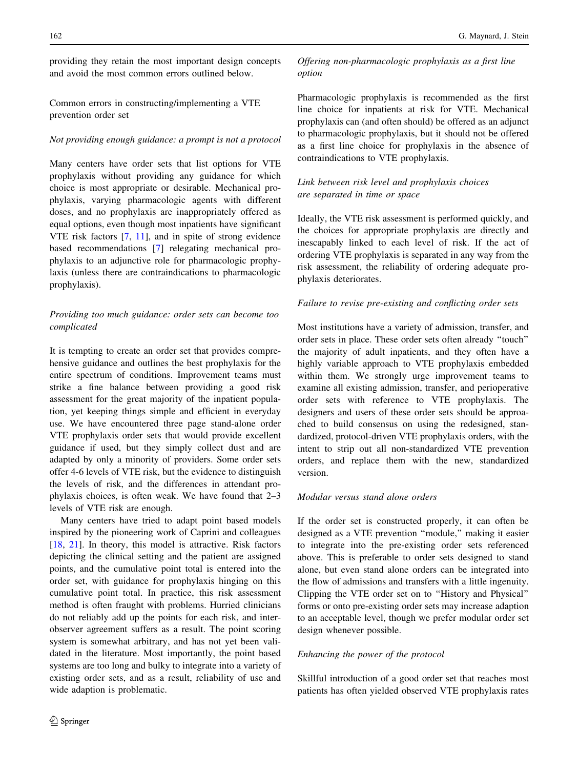providing they retain the most important design concepts and avoid the most common errors outlined below.

Common errors in constructing/implementing a VTE prevention order set

### Not providing enough guidance: a prompt is not a protocol

Many centers have order sets that list options for VTE prophylaxis without providing any guidance for which choice is most appropriate or desirable. Mechanical prophylaxis, varying pharmacologic agents with different doses, and no prophylaxis are inappropriately offered as equal options, even though most inpatients have significant VTE risk factors [[7,](#page-6-0) [11](#page-6-0)], and in spite of strong evidence based recommendations [\[7](#page-6-0)] relegating mechanical prophylaxis to an adjunctive role for pharmacologic prophylaxis (unless there are contraindications to pharmacologic prophylaxis).

# Providing too much guidance: order sets can become too complicated

It is tempting to create an order set that provides comprehensive guidance and outlines the best prophylaxis for the entire spectrum of conditions. Improvement teams must strike a fine balance between providing a good risk assessment for the great majority of the inpatient population, yet keeping things simple and efficient in everyday use. We have encountered three page stand-alone order VTE prophylaxis order sets that would provide excellent guidance if used, but they simply collect dust and are adapted by only a minority of providers. Some order sets offer 4-6 levels of VTE risk, but the evidence to distinguish the levels of risk, and the differences in attendant prophylaxis choices, is often weak. We have found that 2–3 levels of VTE risk are enough.

Many centers have tried to adapt point based models inspired by the pioneering work of Caprini and colleagues [\[18](#page-7-0), [21](#page-7-0)]. In theory, this model is attractive. Risk factors depicting the clinical setting and the patient are assigned points, and the cumulative point total is entered into the order set, with guidance for prophylaxis hinging on this cumulative point total. In practice, this risk assessment method is often fraught with problems. Hurried clinicians do not reliably add up the points for each risk, and interobserver agreement suffers as a result. The point scoring system is somewhat arbitrary, and has not yet been validated in the literature. Most importantly, the point based systems are too long and bulky to integrate into a variety of existing order sets, and as a result, reliability of use and wide adaption is problematic.

# Offering non-pharmacologic prophylaxis as a first line option

Pharmacologic prophylaxis is recommended as the first line choice for inpatients at risk for VTE. Mechanical prophylaxis can (and often should) be offered as an adjunct to pharmacologic prophylaxis, but it should not be offered as a first line choice for prophylaxis in the absence of contraindications to VTE prophylaxis.

# Link between risk level and prophylaxis choices are separated in time or space

Ideally, the VTE risk assessment is performed quickly, and the choices for appropriate prophylaxis are directly and inescapably linked to each level of risk. If the act of ordering VTE prophylaxis is separated in any way from the risk assessment, the reliability of ordering adequate prophylaxis deteriorates.

### Failure to revise pre-existing and conflicting order sets

Most institutions have a variety of admission, transfer, and order sets in place. These order sets often already ''touch'' the majority of adult inpatients, and they often have a highly variable approach to VTE prophylaxis embedded within them. We strongly urge improvement teams to examine all existing admission, transfer, and perioperative order sets with reference to VTE prophylaxis. The designers and users of these order sets should be approached to build consensus on using the redesigned, standardized, protocol-driven VTE prophylaxis orders, with the intent to strip out all non-standardized VTE prevention orders, and replace them with the new, standardized version.

#### Modular versus stand alone orders

If the order set is constructed properly, it can often be designed as a VTE prevention ''module,'' making it easier to integrate into the pre-existing order sets referenced above. This is preferable to order sets designed to stand alone, but even stand alone orders can be integrated into the flow of admissions and transfers with a little ingenuity. Clipping the VTE order set on to ''History and Physical'' forms or onto pre-existing order sets may increase adaption to an acceptable level, though we prefer modular order set design whenever possible.

### Enhancing the power of the protocol

Skillful introduction of a good order set that reaches most patients has often yielded observed VTE prophylaxis rates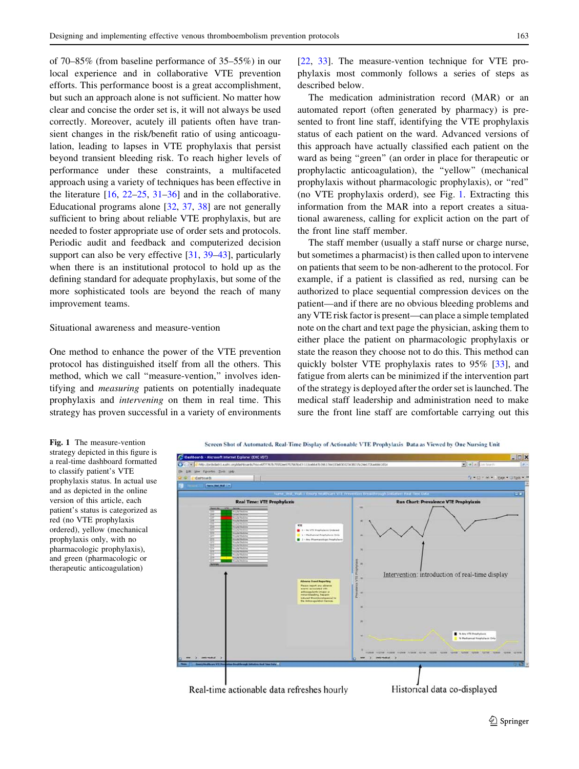of 70–85% (from baseline performance of 35–55%) in our local experience and in collaborative VTE prevention efforts. This performance boost is a great accomplishment, but such an approach alone is not sufficient. No matter how clear and concise the order set is, it will not always be used correctly. Moreover, acutely ill patients often have transient changes in the risk/benefit ratio of using anticoagulation, leading to lapses in VTE prophylaxis that persist beyond transient bleeding risk. To reach higher levels of performance under these constraints, a multifaceted approach using a variety of techniques has been effective in the literature  $[16, 22-25, 31-36]$  $[16, 22-25, 31-36]$  and in the collaborative. Educational programs alone [[32,](#page-7-0) [37,](#page-7-0) [38](#page-7-0)] are not generally sufficient to bring about reliable VTE prophylaxis, but are needed to foster appropriate use of order sets and protocols. Periodic audit and feedback and computerized decision support can also be very effective [[31,](#page-7-0) [39–43](#page-7-0)], particularly when there is an institutional protocol to hold up as the defining standard for adequate prophylaxis, but some of the more sophisticated tools are beyond the reach of many improvement teams.

#### Situational awareness and measure-vention

One method to enhance the power of the VTE prevention protocol has distinguished itself from all the others. This method, which we call "measure-vention," involves identifying and measuring patients on potentially inadequate prophylaxis and intervening on them in real time. This strategy has proven successful in a variety of environments [\[22](#page-7-0), [33](#page-7-0)]. The measure-vention technique for VTE prophylaxis most commonly follows a series of steps as described below.

The medication administration record (MAR) or an automated report (often generated by pharmacy) is presented to front line staff, identifying the VTE prophylaxis status of each patient on the ward. Advanced versions of this approach have actually classified each patient on the ward as being ''green'' (an order in place for therapeutic or prophylactic anticoagulation), the ''yellow'' (mechanical prophylaxis without pharmacologic prophylaxis), or ''red'' (no VTE prophylaxis orderd), see Fig. 1. Extracting this information from the MAR into a report creates a situational awareness, calling for explicit action on the part of the front line staff member.

The staff member (usually a staff nurse or charge nurse, but sometimes a pharmacist) is then called upon to intervene on patients that seem to be non-adherent to the protocol. For example, if a patient is classified as red, nursing can be authorized to place sequential compression devices on the patient—and if there are no obvious bleeding problems and any VTE risk factor is present—can place a simple templated note on the chart and text page the physician, asking them to either place the patient on pharmacologic prophylaxis or state the reason they choose not to do this. This method can quickly bolster VTE prophylaxis rates to 95% [[33\]](#page-7-0), and fatigue from alerts can be minimized if the intervention part of the strategy is deployed after the order set is launched. The medical staff leadership and administration need to make sure the front line staff are comfortable carrying out this

Fig. 1 The measure-vention strategy depicted in this figure is a real-time dashboard formatted to classify patient's VTE prophylaxis status. In actual use and as depicted in the online version of this article, each patient's status is categorized as red (no VTE prophylaxis ordered), yellow (mechanical prophylaxis only, with no pharmacologic prophylaxis), and green (pharmacologic or therapeutic anticoagulation)

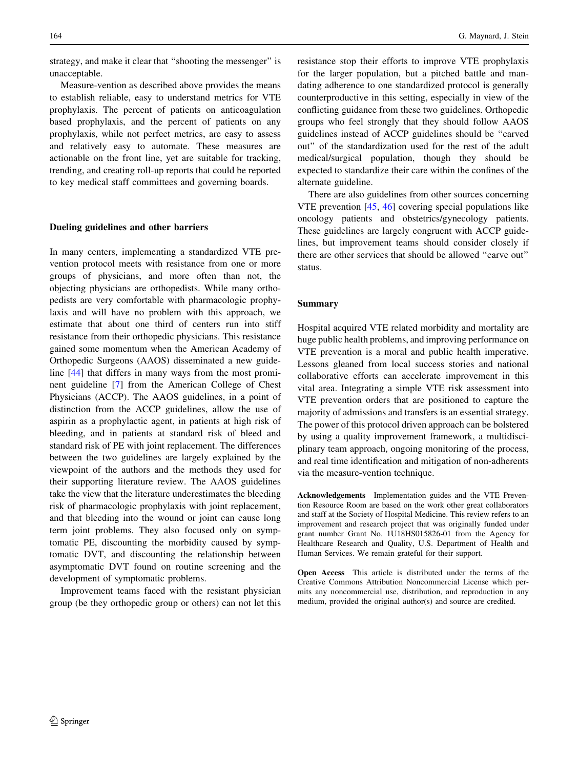strategy, and make it clear that ''shooting the messenger'' is unacceptable.

Measure-vention as described above provides the means to establish reliable, easy to understand metrics for VTE prophylaxis. The percent of patients on anticoagulation based prophylaxis, and the percent of patients on any prophylaxis, while not perfect metrics, are easy to assess and relatively easy to automate. These measures are actionable on the front line, yet are suitable for tracking, trending, and creating roll-up reports that could be reported to key medical staff committees and governing boards.

#### Dueling guidelines and other barriers

In many centers, implementing a standardized VTE prevention protocol meets with resistance from one or more groups of physicians, and more often than not, the objecting physicians are orthopedists. While many orthopedists are very comfortable with pharmacologic prophylaxis and will have no problem with this approach, we estimate that about one third of centers run into stiff resistance from their orthopedic physicians. This resistance gained some momentum when the American Academy of Orthopedic Surgeons (AAOS) disseminated a new guideline [\[44](#page-7-0)] that differs in many ways from the most prominent guideline [[7\]](#page-6-0) from the American College of Chest Physicians (ACCP). The AAOS guidelines, in a point of distinction from the ACCP guidelines, allow the use of aspirin as a prophylactic agent, in patients at high risk of bleeding, and in patients at standard risk of bleed and standard risk of PE with joint replacement. The differences between the two guidelines are largely explained by the viewpoint of the authors and the methods they used for their supporting literature review. The AAOS guidelines take the view that the literature underestimates the bleeding risk of pharmacologic prophylaxis with joint replacement, and that bleeding into the wound or joint can cause long term joint problems. They also focused only on symptomatic PE, discounting the morbidity caused by symptomatic DVT, and discounting the relationship between asymptomatic DVT found on routine screening and the development of symptomatic problems.

Improvement teams faced with the resistant physician group (be they orthopedic group or others) can not let this resistance stop their efforts to improve VTE prophylaxis for the larger population, but a pitched battle and mandating adherence to one standardized protocol is generally counterproductive in this setting, especially in view of the conflicting guidance from these two guidelines. Orthopedic groups who feel strongly that they should follow AAOS guidelines instead of ACCP guidelines should be ''carved out'' of the standardization used for the rest of the adult medical/surgical population, though they should be expected to standardize their care within the confines of the alternate guideline.

There are also guidelines from other sources concerning VTE prevention [\[45](#page-7-0), [46\]](#page-7-0) covering special populations like oncology patients and obstetrics/gynecology patients. These guidelines are largely congruent with ACCP guidelines, but improvement teams should consider closely if there are other services that should be allowed ''carve out'' status.

#### Summary

Hospital acquired VTE related morbidity and mortality are huge public health problems, and improving performance on VTE prevention is a moral and public health imperative. Lessons gleaned from local success stories and national collaborative efforts can accelerate improvement in this vital area. Integrating a simple VTE risk assessment into VTE prevention orders that are positioned to capture the majority of admissions and transfers is an essential strategy. The power of this protocol driven approach can be bolstered by using a quality improvement framework, a multidisciplinary team approach, ongoing monitoring of the process, and real time identification and mitigation of non-adherents via the measure-vention technique.

Acknowledgements Implementation guides and the VTE Prevention Resource Room are based on the work other great collaborators and staff at the Society of Hospital Medicine. This review refers to an improvement and research project that was originally funded under grant number Grant No. 1U18HS015826-01 from the Agency for Healthcare Research and Quality, U.S. Department of Health and Human Services. We remain grateful for their support.

Open Access This article is distributed under the terms of the Creative Commons Attribution Noncommercial License which permits any noncommercial use, distribution, and reproduction in any medium, provided the original author(s) and source are credited.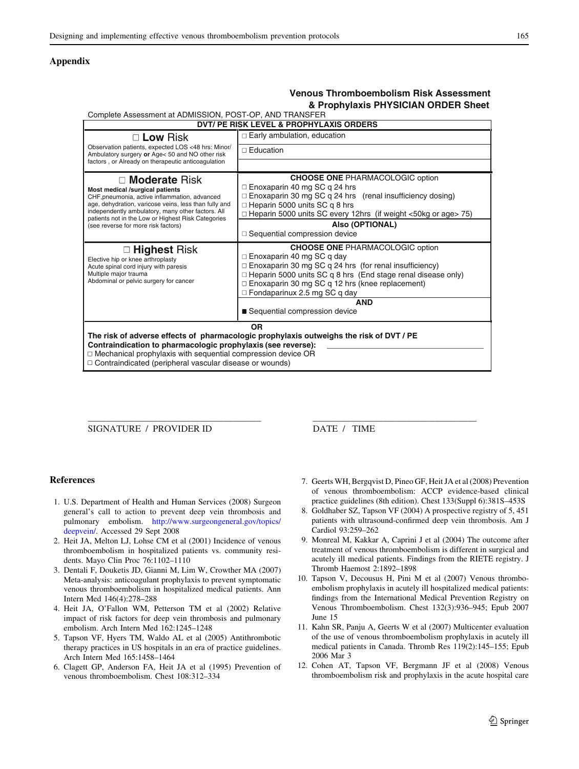#### <span id="page-6-0"></span>Appendix

|                                                                                                                                                                                                                                                                                                                     | <b>Venous Thromboembolism Risk Assessment</b><br>& Prophylaxis PHYSICIAN ORDER Sheet                                                                                                                                                                                                                                |
|---------------------------------------------------------------------------------------------------------------------------------------------------------------------------------------------------------------------------------------------------------------------------------------------------------------------|---------------------------------------------------------------------------------------------------------------------------------------------------------------------------------------------------------------------------------------------------------------------------------------------------------------------|
| Complete Assessment at ADMISSION, POST-OP, AND TRANSFER                                                                                                                                                                                                                                                             |                                                                                                                                                                                                                                                                                                                     |
| DVT/ PE RISK LEVEL & PROPHYLAXIS ORDERS                                                                                                                                                                                                                                                                             |                                                                                                                                                                                                                                                                                                                     |
| $\square$ Low Risk<br>Observation patients, expected LOS <48 hrs: Minor/<br>Ambulatory surgery or Age< 50 and NO other risk                                                                                                                                                                                         | $\Box$ Early ambulation, education                                                                                                                                                                                                                                                                                  |
|                                                                                                                                                                                                                                                                                                                     | $\Box$ Education                                                                                                                                                                                                                                                                                                    |
| factors, or Already on therapeutic anticoagulation                                                                                                                                                                                                                                                                  |                                                                                                                                                                                                                                                                                                                     |
| $\Box$ Moderate Risk<br>Most medical /surgical patients<br>CHF, pneumonia, active inflammation, advanced<br>age, dehydration, varicose veins, less than fully and<br>independently ambulatory, many other factors. All<br>patients not in the Low or Highest Risk Categories<br>(see reverse for more risk factors) | <b>CHOOSE ONE PHARMACOLOGIC option</b><br>$\Box$ Enoxaparin 40 mg SC g 24 hrs<br>□ Enoxaparin 30 mg SC q 24 hrs (renal insufficiency dosing)<br>□ Heparin 5000 units SC q 8 hrs<br>□ Heparin 5000 units SC every 12hrs (if weight <50kg or age> 75)                                                                 |
|                                                                                                                                                                                                                                                                                                                     | Also (OPTIONAL)<br>$\Box$ Sequential compression device                                                                                                                                                                                                                                                             |
| <b>Highest Risk</b><br>Elective hip or knee arthroplasty<br>Acute spinal cord injury with paresis<br>Multiple maior trauma<br>Abdominal or pelvic surgery for cancer                                                                                                                                                | <b>CHOOSE ONE PHARMACOLOGIC option</b><br>$\Box$ Enoxaparin 40 mg SC q day<br>$\Box$ Enoxaparin 30 mg SC q 24 hrs (for renal insufficiency)<br>$\Box$ Heparin 5000 units SC q 8 hrs (End stage renal disease only)<br>$\Box$ Enoxaparin 30 mg SC q 12 hrs (knee replacement)<br>$\Box$ Fondaparinux 2.5 mg SC q day |
|                                                                                                                                                                                                                                                                                                                     | <b>AND</b><br>■ Sequential compression device                                                                                                                                                                                                                                                                       |
| <b>OR</b><br>The risk of adverse effects of pharmacologic prophylaxis outweighs the risk of DVT / PE<br>Contraindication to pharmacologic prophylaxis (see reverse):<br>$\Box$ Mechanical prophylaxis with sequential compression device OR<br>$\Box$ Contraindicated (peripheral vascular disease or wounds)       |                                                                                                                                                                                                                                                                                                                     |

\_\_\_\_\_\_\_\_\_\_\_\_\_\_\_\_\_\_\_\_\_\_\_\_\_\_\_\_\_\_\_\_\_\_\_\_\_ \_\_\_\_\_\_\_\_\_\_\_\_\_\_\_\_\_\_\_\_\_\_\_\_\_\_\_\_\_\_\_\_\_\_\_

## SIGNATURE / PROVIDER ID DATE / TIME

#### References

- 1. U.S. Department of Health and Human Services (2008) Surgeon general's call to action to prevent deep vein thrombosis and pulmonary embolism. [http://www.surgeongeneral.gov/topics/](http://www.surgeongeneral.gov/topics/deepvein/) [deepvein/.](http://www.surgeongeneral.gov/topics/deepvein/) Accessed 29 Sept 2008
- 2. Heit JA, Melton LJ, Lohse CM et al (2001) Incidence of venous thromboembolism in hospitalized patients vs. community residents. Mayo Clin Proc 76:1102–1110
- 3. Dentali F, Douketis JD, Gianni M, Lim W, Crowther MA (2007) Meta-analysis: anticoagulant prophylaxis to prevent symptomatic venous thromboembolism in hospitalized medical patients. Ann Intern Med 146(4):278–288
- 4. Heit JA, O'Fallon WM, Petterson TM et al (2002) Relative impact of risk factors for deep vein thrombosis and pulmonary embolism. Arch Intern Med 162:1245–1248
- 5. Tapson VF, Hyers TM, Waldo AL et al (2005) Antithrombotic therapy practices in US hospitals in an era of practice guidelines. Arch Intern Med 165:1458–1464
- 6. Clagett GP, Anderson FA, Heit JA et al (1995) Prevention of venous thromboembolism. Chest 108:312–334
- 7. Geerts WH, Bergqvist D, Pineo GF, Heit JA et al (2008) Prevention of venous thromboembolism: ACCP evidence-based clinical practice guidelines (8th edition). Chest 133(Suppl 6):381S–453S
- 8. Goldhaber SZ, Tapson VF (2004) A prospective registry of 5, 451 patients with ultrasound-confirmed deep vein thrombosis. Am J Cardiol 93:259–262
- 9. Monreal M, Kakkar A, Caprini J et al (2004) The outcome after treatment of venous thromboembolism is different in surgical and acutely ill medical patients. Findings from the RIETE registry. J Thromb Haemost 2:1892–1898
- 10. Tapson V, Decousus H, Pini M et al (2007) Venous thromboembolism prophylaxis in acutely ill hospitalized medical patients: findings from the International Medical Prevention Registry on Venous Thromboembolism. Chest 132(3):936–945; Epub 2007 June 15
- 11. Kahn SR, Panju A, Geerts W et al (2007) Multicenter evaluation of the use of venous thromboembolism prophylaxis in acutely ill medical patients in Canada. Thromb Res 119(2):145–155; Epub 2006 Mar 3
- 12. Cohen AT, Tapson VF, Bergmann JF et al (2008) Venous thromboembolism risk and prophylaxis in the acute hospital care